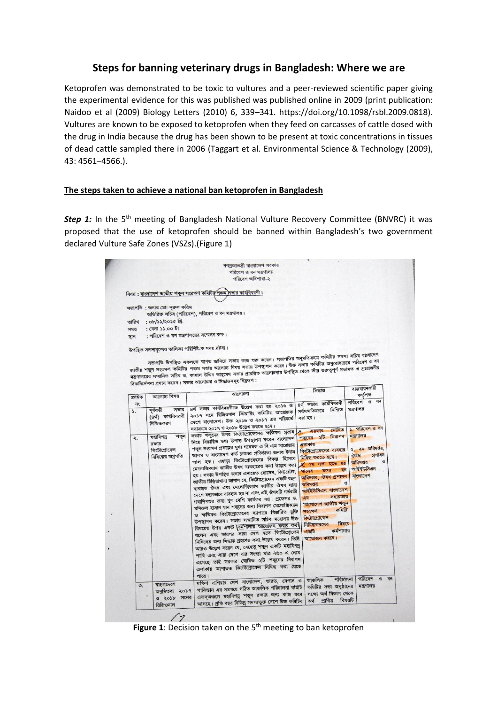## **Steps for banning veterinary drugs in Bangladesh: Where we are**

Ketoprofen was demonstrated to be toxic to vultures and a peer-reviewed scientific paper giving the experimental evidence for this was published was published online in 2009 (print publication: Naidoo et al (2009) Biology Letters (2010) 6, 339–341. https://doi.org/10.1098/rsbl.2009.0818). Vultures are known to be exposed to ketoprofen when they feed on carcasses of cattle dosed with the drug in India because the drug has been shown to be present at toxic concentrations in tissues of dead cattle sampled there in 2006 (Taggart et al. Environmental Science & Technology (2009), 43: 4561–4566.).

## **The steps taken to achieve a national ban ketoprofen in Bangladesh**

**Step 1:** In the 5<sup>th</sup> meeting of Bangladesh National Vulture Recovery Committee (BNVRC) it was proposed that the use of ketoprofen should be banned within Bangladesh's two government declared Vulture Safe Zones (VSZs).(Figure 1)

|                 |                                                          | পরিবেশ অধিশাখা-২                                                                                                                                                                                                                                                                                                                                                                                                                                                                                                                                                                                                                                                                                                                                                                                                                                                                                                                                                                                      |                                                                                                                                                                                                                                                                                                                                |                                                                                     |
|-----------------|----------------------------------------------------------|-------------------------------------------------------------------------------------------------------------------------------------------------------------------------------------------------------------------------------------------------------------------------------------------------------------------------------------------------------------------------------------------------------------------------------------------------------------------------------------------------------------------------------------------------------------------------------------------------------------------------------------------------------------------------------------------------------------------------------------------------------------------------------------------------------------------------------------------------------------------------------------------------------------------------------------------------------------------------------------------------------|--------------------------------------------------------------------------------------------------------------------------------------------------------------------------------------------------------------------------------------------------------------------------------------------------------------------------------|-------------------------------------------------------------------------------------|
|                 |                                                          | বিষয়: বাংলাদেশ জাতীয় শকুন সংরক্ষণ কমিটির পঞ্চম সভার কার্যবিবরণী।                                                                                                                                                                                                                                                                                                                                                                                                                                                                                                                                                                                                                                                                                                                                                                                                                                                                                                                                    |                                                                                                                                                                                                                                                                                                                                |                                                                                     |
|                 | সভাপতি : জনাব মো: নূরুল করিম                             | অতিরিক্ত সচিব (পরিবেশ), পরিবেশ ও বন মন্ত্রণালয়।                                                                                                                                                                                                                                                                                                                                                                                                                                                                                                                                                                                                                                                                                                                                                                                                                                                                                                                                                      |                                                                                                                                                                                                                                                                                                                                |                                                                                     |
| তারিখ           | : 0b/33/2030B.                                           |                                                                                                                                                                                                                                                                                                                                                                                                                                                                                                                                                                                                                                                                                                                                                                                                                                                                                                                                                                                                       |                                                                                                                                                                                                                                                                                                                                |                                                                                     |
| সময়            | : বেলা ১১.০০ টা                                          |                                                                                                                                                                                                                                                                                                                                                                                                                                                                                                                                                                                                                                                                                                                                                                                                                                                                                                                                                                                                       |                                                                                                                                                                                                                                                                                                                                |                                                                                     |
| স্থান           | : পরিবেশ ও বন মন্ত্রণালয়ের সম্মেলন কক্ষ।                |                                                                                                                                                                                                                                                                                                                                                                                                                                                                                                                                                                                                                                                                                                                                                                                                                                                                                                                                                                                                       |                                                                                                                                                                                                                                                                                                                                |                                                                                     |
|                 | উপস্থিত সদস্যবৃন্দের তালিকা পরিশিষ্ট-ক সদয় দ্রষ্টব্য।   |                                                                                                                                                                                                                                                                                                                                                                                                                                                                                                                                                                                                                                                                                                                                                                                                                                                                                                                                                                                                       |                                                                                                                                                                                                                                                                                                                                |                                                                                     |
|                 |                                                          | সভাপতি উপস্থিত সকলকে স্বাগত জানিয়ে সভার কাজ অরু করেন। সভাপতির অনুমতিক্রমে কমিটির সদস্য সচিব বাংলাদেশ                                                                                                                                                                                                                                                                                                                                                                                                                                                                                                                                                                                                                                                                                                                                                                                                                                                                                                 |                                                                                                                                                                                                                                                                                                                                |                                                                                     |
|                 |                                                          | জাতীয় শকুন সংরক্ষণ কমিটির পঞ্চম সভার আলোচ্য বিষয় সভায় উপস্থাপন করেন। উক্ত সভায় কমিটির অনুরোধক্রমে পরিবেশ ও বন                                                                                                                                                                                                                                                                                                                                                                                                                                                                                                                                                                                                                                                                                                                                                                                                                                                                                     |                                                                                                                                                                                                                                                                                                                                |                                                                                     |
|                 |                                                          | মন্ত্রণালয়ের সম্মানিত সচিব ড. কামাল উদ্দিন আহমেদ সভার প্রারম্ভিক আলোচনায় উপস্থিত থেকে তাঁর গুরুত্বপূর্ণ মতামত ও প্রয়োজনীয়                                                                                                                                                                                                                                                                                                                                                                                                                                                                                                                                                                                                                                                                                                                                                                                                                                                                         |                                                                                                                                                                                                                                                                                                                                |                                                                                     |
|                 |                                                          | দিকনির্দেশনা প্রদান করেন। সভার আলোচনা ও সিদ্ধান্তসমূহ নিমুরূপ :                                                                                                                                                                                                                                                                                                                                                                                                                                                                                                                                                                                                                                                                                                                                                                                                                                                                                                                                       |                                                                                                                                                                                                                                                                                                                                |                                                                                     |
|                 |                                                          | আলোচনা                                                                                                                                                                                                                                                                                                                                                                                                                                                                                                                                                                                                                                                                                                                                                                                                                                                                                                                                                                                                | সিদ্ধান্ত                                                                                                                                                                                                                                                                                                                      | বাস্তবায়নকারী                                                                      |
| ক্ৰমিক          | আলোচ্য বিষয়                                             |                                                                                                                                                                                                                                                                                                                                                                                                                                                                                                                                                                                                                                                                                                                                                                                                                                                                                                                                                                                                       |                                                                                                                                                                                                                                                                                                                                | কর্তপক্ষ<br>$8 \overline{3}$<br>পরিবেশ                                              |
| নং              | সভার<br>পৰ্বৰতী                                          | ৪র্থ সভার কার্যবিবরণীতে উল্লেখ করা হয় ২০১৬ ও                                                                                                                                                                                                                                                                                                                                                                                                                                                                                                                                                                                                                                                                                                                                                                                                                                                                                                                                                         | ৪র্থ সভার কার্যবিবরণী<br>নিশ্চিত<br>সর্বসম্মতিক্রমে                                                                                                                                                                                                                                                                            | মন্ত্ৰণালয়                                                                         |
| $\mathcal{L}$   | (৪ৰ্থ) কাৰ্যবিবরণী                                       | ২০১৭ সনে রিজিওনাল স্টিয়ারিং কমিটির আয়োজক                                                                                                                                                                                                                                                                                                                                                                                                                                                                                                                                                                                                                                                                                                                                                                                                                                                                                                                                                            | করা হয়।                                                                                                                                                                                                                                                                                                                       |                                                                                     |
|                 | নিশ্চিতকরণ                                               | দেশে বাংলাদেশ। উক্ত ২০১৬ ও ২০১৭ এর পরিবর্তে                                                                                                                                                                                                                                                                                                                                                                                                                                                                                                                                                                                                                                                                                                                                                                                                                                                                                                                                                           |                                                                                                                                                                                                                                                                                                                                |                                                                                     |
|                 |                                                          | যথাক্ৰমে ২০১৭ ও ২০১৮ উল্লেখ করতে হবে।<br>সভায় শকুনের উপর কিটোপ্রোফেনের ক্ষতিকর প্রভাব                                                                                                                                                                                                                                                                                                                                                                                                                                                                                                                                                                                                                                                                                                                                                                                                                                                                                                                | ঘোষিত<br>সরকার                                                                                                                                                                                                                                                                                                                 | ১. পরিবেশ ও বন<br>মন্ত্ৰণালয়                                                       |
| ২.              | রক্ষায়<br>কিটোপ্ৰোফেন<br>নিষিদ্ধের অগ্রগতি              | নিয়ে বিস্তারিত তথ্য উপাত্ত উপস্থাপন করেন বাংলাদেশ<br>শকুন সংরক্ষণ প্রকল্পের মুখ্য গবেষক এ বি এম সারোয়ার<br>আলম ও বাংলাদেশ বার্ড ক্লাবের প্রতিষ্ঠাতা জনাব ইনাম<br>আল হক। এছাড়া কিটোপ্ৰোফেনের বিকল্প হিসেবে<br>মেলোক্সিক্যাম জাতীয় উষধ ব্যবহারের কথা উল্লেখ করা<br>হয়। সভায় উপস্থিত জনাব এনায়েত হোসেন, কিউরেটর,<br>জাতীয় চিড়িয়াখানা জানান যে, কিটোপ্রোফেন একটি বহুল<br>ব্যবহৃত ঔষধ এবং মেলোক্সিক্যাম জাতীয় ঔষধ সারা<br>দেশে বহুলভাবে বাৰদ্বত হয় না এবং এই ঔষধটি গৰ্ভবৰ্তী<br>গবাদিপত্যর জন্য খুব বেশি কার্যকর নয়। প্রফেসর ড,<br>মনিরুল হাসান খান শকুনের জন্য নিরাপদ মেলোক্সিক্যাম<br>ও ক্ষতিকর কিটোপ্রোফেনের ব্যাপারে বিস্তারিত যুক্তি<br>উপস্থাপন করেন। সভায় সম্মানিত সচিব মহোদয় উক্ত<br>বিষয়ের উপর একটি কির্মশালার আয়োজন করার কথা<br>বলেন এবং তারপর সারা দেশ হতে কিটোপ্রোফেন<br>নিষিদ্ধের জন্য সিদ্ধান্ত গ্রহণের কথা উল্লেখ করেন। তিনি<br>আরও উল্লেখ করেন যে, যেহেতু শকুন একটি মহাবিপন্ন<br>পাখি এবং সারা দেশে এর সংখ্যা মাত্র ২৬০ এ নেমে<br>এসেছে তাই সরকার ঘোষিত ২টি শকুনের নিরাপদ | শকুনের ২টি নিরাপদ<br>এলাকায়<br>কিটোপ্রোফেনের ব্যবহার<br>নিষিদ্ধ করতে হবে।<br>ৰ ৫ম সভা হতে ছয়<br>বন<br>মধ্যে<br>মাসের<br>অধিদণ্ডর, ঔষধ প্রশাসন<br>অধিদণ্ডর<br>আইইউসিএন বাংলাদেশ<br>সহায়তায়<br>এর<br>'বাংলাদেশ জাতীয় শকুন<br>কমিটি'<br>সংরক্ষণ<br>কিটোপ্ৰোফেন<br>विषटय<br>নিষিদ্ধকরণের<br>কর্মশালার<br>একটি<br>আয়োজন করবে। | ২. বন অধিদপ্তর,<br>প্ৰশাসন<br>ঔষধ<br>$\sqrt{3}$<br>অধিদণ্ডর<br>আইইউসিএন<br>বাংলাদেশ |
| $\mathcal{O}$ . | বাংলাদেশে<br>षनुष्ठिज्या २०১१<br>ও ২০১৮ সনের<br>রিজিওনাল | এলাকায় আপাতত কিটোপ্ৰোফেন নিষিদ্ধ করা যেতে<br>পারে।<br>দক্ষিণ এশিয়ার দেশ বাংলাদেশ, ভারত, নেপান ও<br>পাকিস্তান এর সমন্বয়ে গঠিত আঞ্চলিক পরিচালনা কমিটি<br>এতদ্অঞ্চলে মহাবিপন্ন শকুন রক্ষার জন্য কাজ করে<br>আসছে। প্ৰতি বছর বিভিন্ন সদস্যভুক্ত দেশে উক্ত কমিটির                                                                                                                                                                                                                                                                                                                                                                                                                                                                                                                                                                                                                                                                                                                                        | পরিচালনা<br>আঞ্চলিক<br>কমিটির সভা অনুষ্ঠানের<br>লক্ষ্যে অৰ্থ বিভাগ থেকে<br>পাণ্ডির<br>অৰ্থ                                                                                                                                                                                                                                     | পরিবেশ ও<br>বন<br>মন্ত্ৰণালয়<br>বিষয়টি                                            |

Figure 1: Decision taken on the 5<sup>th</sup> meeting to ban ketoprofen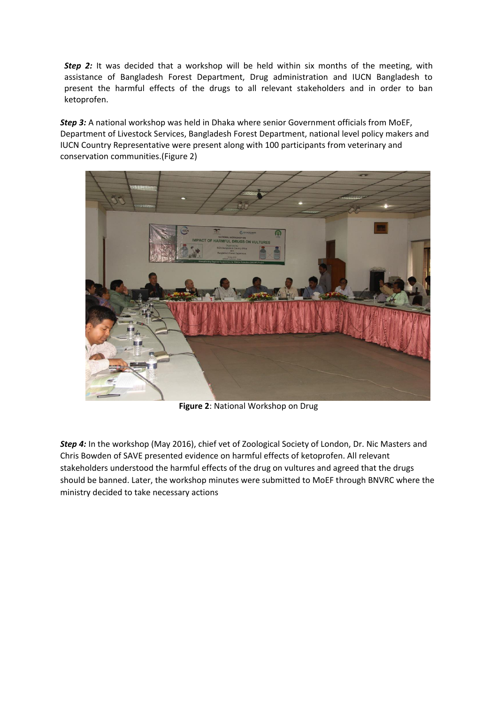**Step 2:** It was decided that a workshop will be held within six months of the meeting, with assistance of Bangladesh Forest Department, Drug administration and IUCN Bangladesh to present the harmful effects of the drugs to all relevant stakeholders and in order to ban ketoprofen.

*Step 3:* A national workshop was held in Dhaka where senior Government officials from MoEF, Department of Livestock Services, Bangladesh Forest Department, national level policy makers and IUCN Country Representative were present along with 100 participants from veterinary and conservation communities.(Figure 2)



**Figure 2**: National Workshop on Drug

*Step 4:* In the workshop (May 2016), chief vet of Zoological Society of London, Dr. Nic Masters and Chris Bowden of SAVE presented evidence on harmful effects of ketoprofen. All relevant stakeholders understood the harmful effects of the drug on vultures and agreed that the drugs should be banned. Later, the workshop minutes were submitted to MoEF through BNVRC where the ministry decided to take necessary actions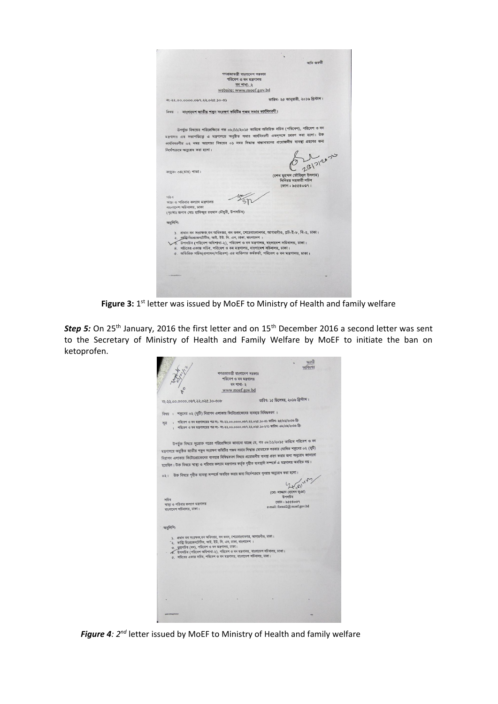|                                                                                                                                             | অতি জক্বরী                                                                                              |
|---------------------------------------------------------------------------------------------------------------------------------------------|---------------------------------------------------------------------------------------------------------|
|                                                                                                                                             |                                                                                                         |
|                                                                                                                                             | গণপ্ৰজাতন্ত্ৰী বাংলাদেশ সরকার<br>পরিবেশ ও বন মন্ত্রণালয়                                                |
|                                                                                                                                             | বন শাখা- ২                                                                                              |
|                                                                                                                                             | website: www.moef.gov.bd                                                                                |
| 40-06.850.55.960.0000.00.55-95                                                                                                              | তারিখ: ২৫ জানুয়ারী, ২০১৬ খ্রিস্টাব্দ।                                                                  |
| বিষয় : বাংলাদেশ জাতীয় শকুন সংরক্ষণ কমিটির পঞ্চম সভার কার্যবিবরণী।                                                                         |                                                                                                         |
|                                                                                                                                             | উপর্যুক্ত বিষয়ের পরিপ্রেক্ষিতে গত ০৮/১১/২০১৫ তারিখে অতিরিক্ত সচিব (পরিবেশ), পরিবেশ ও বন                |
|                                                                                                                                             | মন্ত্রণালয় এর সভাপতিত্বে এ মন্ত্রণালয়ে অনুষ্ঠিত সভার কার্যবিবরণী এতদৃসঙ্গে প্রেরণ করা হলো। উক্ত       |
|                                                                                                                                             | কার্যবিবরণীর ০২ নম্বর আলোচ্য বিষয়ের ০১ নম্বর সিদ্ধান্ত বাস্তাবায়নের প্রয়োজনীয় ব্যবস্থা গ্রহণের জন্য |
| নির্দেশক্রমে অনুরোধ করা হলো।                                                                                                                |                                                                                                         |
|                                                                                                                                             |                                                                                                         |
|                                                                                                                                             | 3261212030                                                                                              |
|                                                                                                                                             |                                                                                                         |
| সংযজ: ০৪(চার) পাতা।                                                                                                                         | (শেখ মুহম্মদ তৌহিদুল ইসলাম)                                                                             |
|                                                                                                                                             | সিনিয়র সহকারী সচিব                                                                                     |
|                                                                                                                                             | ফোন : ৯৫৫৪০৩৭।                                                                                          |
|                                                                                                                                             |                                                                                                         |
| সচিব                                                                                                                                        |                                                                                                         |
| খাস্থ্য ও পরিবার কল্যাণ মন্ত্রণালয়                                                                                                         |                                                                                                         |
| বাংলাদেশ সচিবালয়, ঢাকা<br>(দঃআঃ জনাব মোঃ হাফিজুর রহমান চৌধুরী, উপসচিব)                                                                     |                                                                                                         |
|                                                                                                                                             |                                                                                                         |
| অনুলিপি:                                                                                                                                    |                                                                                                         |
|                                                                                                                                             |                                                                                                         |
|                                                                                                                                             | ১. প্রধান বন সংরক্ষক, বন অধিদপ্তর, বন ভবন, শেরেবাংলানগর, আগারগাঁও, প্লট-ই-৮, বি-২, ঢাকা।                |
| ২ কাজি নিপ্রেজেনটেটিভ, আই. ইউ. সি. এন, ঢাকা, বাংলাদেশ ।<br>১১ উপসূচিব (পরিবেশ অধিশাখা-২), পরিবেশ ও বন মন্ত্রণালয়, বাংলাদেশ সচিবালয়, ঢাকা। |                                                                                                         |
| 8. সচিবের একাস্ত সচিব, পরিবেশ ও বন মন্ত্রণালয়, বাংলাদেশ সচিবালয়, ঢাকা।                                                                    |                                                                                                         |
| ৫. অতিরিক্ত সচিব(প্রশাসন/পরিবেশ) এর ব্যক্তিগত কর্মকর্তা, পরিবেশ ও বন মন্ত্রণালয়, ঢাকা।                                                     |                                                                                                         |
|                                                                                                                                             |                                                                                                         |
|                                                                                                                                             |                                                                                                         |
|                                                                                                                                             |                                                                                                         |
|                                                                                                                                             |                                                                                                         |
|                                                                                                                                             |                                                                                                         |
|                                                                                                                                             |                                                                                                         |

Figure 3: 1<sup>st</sup> letter was issued by MoEF to Ministry of Health and family welfare

**Step 5:** On 25<sup>th</sup> January, 2016 the first letter and on 15<sup>th</sup> December 2016 a second letter was sent to the Secretary of Ministry of Health and Family Welfare by MoEF to initiate the ban on ketoprofen.

|                                                                   |                                                                                                                                                                                             | জরণী                                         |
|-------------------------------------------------------------------|---------------------------------------------------------------------------------------------------------------------------------------------------------------------------------------------|----------------------------------------------|
|                                                                   |                                                                                                                                                                                             | ডাগিদপত্                                     |
|                                                                   | গণপ্ৰজাতন্ত্ৰী বাংলাদেশ সৱকাৱ<br>পরিবেশ ও বন মন্ত্রণালয়                                                                                                                                    |                                              |
|                                                                   | বন শাখা- ২                                                                                                                                                                                  |                                              |
|                                                                   | www.moef.gov.bd                                                                                                                                                                             |                                              |
|                                                                   |                                                                                                                                                                                             |                                              |
| न१-२२,००,००००,०७१,२२,०२८,১०-७०৮                                   |                                                                                                                                                                                             | তারিখ: ১৫ ডিসেম্বর, ২০১৬ খ্রিস্টাব্দ।        |
|                                                                   | বিষয়: শকুনের ০২ (দুটি) নিরাপদ এলাকায় কিটোপ্রোফেনের ব্যবহার নিষিদ্ধকরণ।                                                                                                                    |                                              |
| সূত্র                                                             | : পরিবেশ ও বন মন্ত্রণাদয়ের পত্র নং- নং-২২.০০.০০০০.০৬৭.২২.০২৫.১০-৩১ তারিখ: ২৫/০১/২০১৬ খ্রি:<br>: পরিবেশ ও বন মন্ত্রণালয়ের পত্র নং- নং-২২.০০.০০০০.০৬৭.২২.০২৫.১০-২৭১ তারিখ: ০৮/০৯/২০১৬ খ্রি: |                                              |
|                                                                   | উপর্যুক্ত বিষয়ে সূত্রোক্ত পত্রের পরিপ্রেক্ষিতে জানানো যাচ্ছে যে, গত ০৮/১১/২০১৫ তারিখে পরিবেশ ও বন                                                                                          |                                              |
|                                                                   | মন্ত্রণালয়ে অনুষ্ঠিত জাতীয় শকুন সংরক্ষণ কমিটির পঞ্চম সভার সিদ্ধান্ত মোতাবেক সরকার ঘোষিত শকুনের ০২ (দৃটি)                                                                                  |                                              |
|                                                                   | নিরাপদ এলাকায় কিটোগ্রোফেনের ব্যবহার নিষিদ্ধকরণ বিষয়ে প্রয়োজনীয় ব্যবস্থা গ্রহণ করার জন্য অনুরোধ জানানো                                                                                   |                                              |
|                                                                   | হয়েছিল। উক্ত বিষয়ে স্বাস্থ্য ও পরিবার কল্যান মন্ত্রণালয় কর্তৃক গৃহীত ব্যবস্থাদি সম্পর্কে এ মন্ত্রণালয় অবহিত নয়।                                                                        |                                              |
| 021                                                               | উক্ত বিষয়ে গৃহীত ব্যবস্থা সম্পর্কে অবহিত করার জন্য নির্দেশক্রমে পুনরায় অনুরোধ করা হলো।                                                                                                    |                                              |
|                                                                   |                                                                                                                                                                                             | 2 2 22 1                                     |
|                                                                   |                                                                                                                                                                                             | (মো: সাজ্জাদ হোসেন ভূঞা)                     |
| সচিব                                                              |                                                                                                                                                                                             | উপসচিব                                       |
| স্বাস্থ্য ও পরিবার কল্যাণ মন্ত্রণালয়<br>বাংলাদেশ সচিবালয়, ঢাকা। |                                                                                                                                                                                             | ফোন: ৯৫৫৪০৩৭<br>e-mail: forest2@ moef.gov.bd |
| অনুলিপি:                                                          |                                                                                                                                                                                             |                                              |
|                                                                   | ১. প্রধান বন সংরক্ষক, বন অধিদপ্তর, বন ভবন, শেরেবাংলানগর, আগারগাঁও, ঢাকা।                                                                                                                    |                                              |
|                                                                   | '২. কান্ত্রি রিপ্রেজেনটেটিভ, আই. ইউ. সি. এন, ঢাকা, বাংলাদেশ।<br>৩. ফুয়সচিব (বন), পরিবেশ ও বন মন্ত্রণালয়, ঢাকা।                                                                            |                                              |
|                                                                   | - উপসচিব (পরিবেশ অধিশাবা-২), পরিবেশ ও বন মন্ত্রণালয়, বাংলাদেশ সচিবালয়, ঢাকা।                                                                                                              |                                              |
|                                                                   | ৫. সচিবের একান্ত সচিব, পরিবেশ ও বন মন্ত্রণালয়, বাংলাদেশ সচিবালয়, ঢাকা।                                                                                                                    |                                              |
|                                                                   |                                                                                                                                                                                             |                                              |
|                                                                   |                                                                                                                                                                                             |                                              |
|                                                                   |                                                                                                                                                                                             |                                              |
|                                                                   |                                                                                                                                                                                             |                                              |
|                                                                   |                                                                                                                                                                                             |                                              |
|                                                                   |                                                                                                                                                                                             |                                              |
|                                                                   |                                                                                                                                                                                             |                                              |
|                                                                   |                                                                                                                                                                                             |                                              |
|                                                                   |                                                                                                                                                                                             |                                              |
|                                                                   |                                                                                                                                                                                             |                                              |

*Figure 4: 2nd* letter issued by MoEF to Ministry of Health and family welfare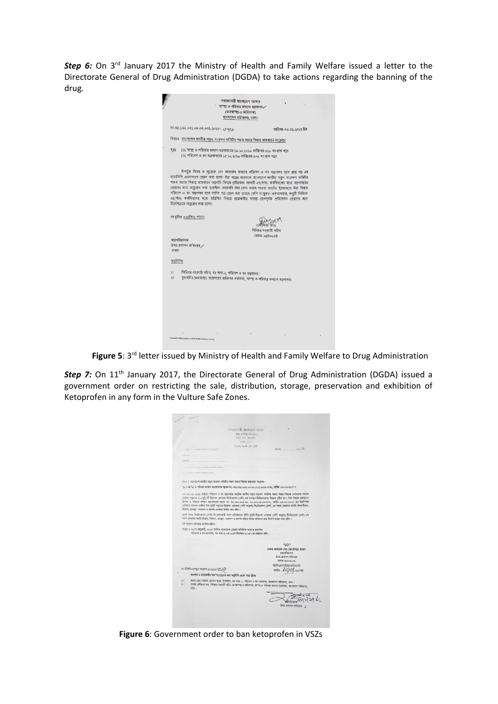**Step 6:** On 3<sup>rd</sup> January 2017 the Ministry of Health and Family Welfare issued a letter to the Directorate General of Drug Administration (DGDA) to take actions regarding the banning of the drug.

| গণপ্ৰজাতন্ত্ৰী ৰাংলাদেশ সরকার<br>স্বাস্হ্য ও পরিবার কল্যাণ সন্ত্রণালয়                                                                                                                                                                                                                                      |  |
|-------------------------------------------------------------------------------------------------------------------------------------------------------------------------------------------------------------------------------------------------------------------------------------------------------------|--|
| (জনস্বাস্হ্য-৩ অধিশাখা)                                                                                                                                                                                                                                                                                     |  |
| বাংলাদেশ সচিবালয়, ঢাকা।                                                                                                                                                                                                                                                                                    |  |
| 72-80.562.003.00.00.003.2050- 094<br>তারিখঃ ০৩.০১.২০১৭ খ্রিঃ                                                                                                                                                                                                                                                |  |
| বিষয়ঃ বাংলাদেশ জাতীয় শকুন সংরক্ষণ কমিটির পঞ্চম সভার সিদ্ধান্ত বাস্তবায়ন সংক্রান্ত।                                                                                                                                                                                                                       |  |
| (১) স্বাস্থ্য ও পরিবার কল্যাণ মন্ত্রণালয়ের ১৬.১০.২০১৬ তারিখের ৩১৮ সংখ্যক পত্র।<br>75.5                                                                                                                                                                                                                     |  |
| (২) পরিবেশ ও বন মন্ত্রণালয়ের ১৫.১২.২০১৬ তারিখের ৩০৮ সংখ্যক পত্র।                                                                                                                                                                                                                                           |  |
| উপর্যুক্ত বিষয় ও সূত্রোক্ত ১নং স্মারকের মাধ্যমে পরিবেশ ও বন মন্ত্রণালয় হতে প্রাপ্ত পত্র এর<br>ছায়ালিপি এতদসংগে প্রেরণ করা হলো। উক্ত পত্রের আলোকে বাংলাদেশ জাতীয় শকুন সংরক্ষণ কমিটির                                                                                                                     |  |
| পঞ্চম সভার সিদ্ধান্ত ৰাস্তবায়ন অগ্রগতি বিষয়ে প্রতিবেদন আগামী ০৭(সাত) কর্মদিবসের মধ্যে মন্ত্রণালয়ের<br>প্রেরণের জন্য অনুরোধ করা হয়েছিল। অদ্যাবধি তার কোন জবাব পাওয়া যায়নি। ইতোমধ্যে উক্ত বিষয়ে<br>পরিথেশ ও বন মন্ত্রণালয় হতে তাগিদ পত্র প্রেরণ করা হয়েছে (কপি সংযুক্ত)। এমতাবস্থায়, জবুরী ভিত্তিতে |  |
| ০৫(পাঁচ) কর্মদিবসের মধ্যে উল্লিখিত বিষয়ে প্রয়োজনীয় ব্যবস্থা গ্রহণপূর্বক প্রতিবেদন প্রেরণের জন্য<br>নির্দেশক্রমে অনুরোধ করা হলো।                                                                                                                                                                          |  |
| সংযুক্তিঃ ০৩(তিন) পাতা।                                                                                                                                                                                                                                                                                     |  |
| সিনিয়র সহকারী সচিব                                                                                                                                                                                                                                                                                         |  |
| ফোনঃ-৯৫৪০৬৫৪                                                                                                                                                                                                                                                                                                |  |
| মহাপরিচালক                                                                                                                                                                                                                                                                                                  |  |
| $\delta$ ষধ প্রশাসন অধিদপ্তর /<br>ঢাকা।                                                                                                                                                                                                                                                                     |  |
| অনুলিপিঃ                                                                                                                                                                                                                                                                                                    |  |
| $\overline{\mathbf{v}}$<br>সিনিয়র সহকারী সচিব, বন শাখা-২, পরিবেশ ও বন মন্ত্রণালয়।                                                                                                                                                                                                                         |  |
| যুগ্মসচিব (জনস্বাস্থ্য) মহোদয়ের ব্যক্তিগত কর্মকর্তা, স্বাস্ছ্য ও পরিবার কল্য্যণ মন্ত্রণালয়।<br>$\frac{1}{2}$                                                                                                                                                                                              |  |
|                                                                                                                                                                                                                                                                                                             |  |
|                                                                                                                                                                                                                                                                                                             |  |
|                                                                                                                                                                                                                                                                                                             |  |
|                                                                                                                                                                                                                                                                                                             |  |
|                                                                                                                                                                                                                                                                                                             |  |
|                                                                                                                                                                                                                                                                                                             |  |
| C'Obauttit-st Nissing Cala, now (13 piùto): l'istinisc Later de                                                                                                                                                                                                                                             |  |
|                                                                                                                                                                                                                                                                                                             |  |

**Figure 5**: 3rd letter issued by Ministry of Health and Family Welfare to Drug Administration

**Step 7:** On 11<sup>th</sup> January 2017, the Directorate General of Drug Administration (DGDA) issued a government order on restricting the sale, distribution, storage, preservation and exhibition of Ketoprofen in any form in the Vulture Safe Zones.

|               |                                                                                                                        | मानवधान जी वारणारामा भावस                                                                       |                                                                                                                               |  |
|---------------|------------------------------------------------------------------------------------------------------------------------|-------------------------------------------------------------------------------------------------|-------------------------------------------------------------------------------------------------------------------------------|--|
|               |                                                                                                                        | केमप व नामन परिकाल                                                                              |                                                                                                                               |  |
|               |                                                                                                                        | Sant Bost, Attorney                                                                             |                                                                                                                               |  |
|               |                                                                                                                        | 1001-1002                                                                                       |                                                                                                                               |  |
|               |                                                                                                                        | tat.soc.dedu.soc.bd                                                                             |                                                                                                                               |  |
|               | - STEELS LONG RUN 15-07202                                                                                             |                                                                                                 | $363 - 38$<br>about .                                                                                                         |  |
| cinca.        |                                                                                                                        |                                                                                                 |                                                                                                                               |  |
| cent          |                                                                                                                        |                                                                                                 |                                                                                                                               |  |
|               |                                                                                                                        |                                                                                                 |                                                                                                                               |  |
|               |                                                                                                                        |                                                                                                 |                                                                                                                               |  |
|               | and the contract of the contract of                                                                                    |                                                                                                 |                                                                                                                               |  |
|               |                                                                                                                        |                                                                                                 |                                                                                                                               |  |
|               | দিনা । যালোদেশ জাতীয় শলুন সংবাদণ কমিটির পঞ্চম সভার সিদ্ধান্ত বান্তবায়ন সংক্রান্ত।                                    |                                                                                                 |                                                                                                                               |  |
|               | ন্দ ঃ যাপত ও পরিবার কলাল মন্ত্রণালয়ের স্থারক নং- ৪৫.১৬২.০০১.০০.০০.০০১.২০১৩-৩৭৬. তারিখ ০৩-০১-২০১৭।                     |                                                                                                 |                                                                                                                               |  |
|               |                                                                                                                        |                                                                                                 |                                                                                                                               |  |
|               |                                                                                                                        |                                                                                                 | গত ৩৮-০১-২০১৫ তারিখে পরিবেশ ও বন মন্ত্রণালয়ে অনুষ্ঠিত জাতীয় শকন সংরক্ষণ কমিটির পঞ্চম সভার সিদ্ধান্ত মোতাবেক সরবর্তা         |  |
|               |                                                                                                                        |                                                                                                 | খোঁথক পকুনের ০২ (দুই) টি নিরাপদ এলাকায় কিটোপ্রফেন (ভেট) এর ব্যবহার নিষিদ্ধকরণের সিদ্ধান্ত গৃহীত হয়। উক্ত দিদ্ধার বাস্তবাতনে |  |
|               |                                                                                                                        |                                                                                                 | য়া"হা ও পরিবার কল্যাণ মন্ত্রণালয়ের স্থানক নং- ৪৫.১৬২.০০১.০০. ০০.০০১.২০১৩-৩৭৬, তারিখ ০৩-০১-২০১৭ এর নির্দেশনার                |  |
|               | গ্ৰেখিতে সদস্যৰ খেৰিত উক্ত দুইটি শকুনের নিয়াশদ এলাকায় (কণি সংযুক্ত) কিটোপ্ৰদেশ (ভেট) এর সকল ভোসেডা ফর্মের ঔষধ বিজয়, |                                                                                                 |                                                                                                                               |  |
|               | বিভরণ, মওছদ, সংরক্ষণ ও প্রদর্শন এতদারা নিছিদ্ধ করা হইল।                                                                |                                                                                                 |                                                                                                                               |  |
|               |                                                                                                                        |                                                                                                 | একই সাথে, নিটোগ্ৰফেন (তেট) উৎপাদনকারী সকল প্রতিষ্ঠানকে বর্ণিত দুইটি নিরাগদ এলাকায় (কপি সংযুক্ত) বিটোগ্রফেন (ভেট) এর          |  |
|               | নবল ডোসেঅ ফর্মের বিক্রয়, বিতরণ, মওজুদ, সরেখন ও প্রদর্শন হাঁতে বিরত থাকিবর জনা নির্দেশ প্রদান করা হইল।                 |                                                                                                 |                                                                                                                               |  |
|               | এই অহমেশ অবিদয়ে কাৰ্যকর হাইবে।                                                                                        |                                                                                                 |                                                                                                                               |  |
|               | সংযুক্ত : ২৮শে জানুয়ারী, ২০১৫ তারিখে বাংলাদেশ গোজ্ঞাই অতিরিক্ত সংখ্যায় প্রকাশিত                                      |                                                                                                 |                                                                                                                               |  |
|               |                                                                                                                        | পতিবেশ ও কা মন্ত্ৰণালয়, কা পাখা-২ এই ২৩শে ডিলেশ্বৰ ২০১৪ এৰ প্ৰজ্ঞাপন কপি।                      |                                                                                                                               |  |
|               |                                                                                                                        |                                                                                                 |                                                                                                                               |  |
|               |                                                                                                                        |                                                                                                 |                                                                                                                               |  |
|               |                                                                                                                        |                                                                                                 | 50 <sup>2</sup>                                                                                                               |  |
|               |                                                                                                                        |                                                                                                 | মেজর জেলারেল মোঃ মোডাফিজুর রহমান                                                                                              |  |
|               |                                                                                                                        |                                                                                                 | मशनविष्णन                                                                                                                     |  |
|               |                                                                                                                        |                                                                                                 | ग्रेमध अभामन परिण्डा                                                                                                          |  |
|               |                                                                                                                        |                                                                                                 | cuter airbohon.                                                                                                               |  |
|               | $m$ -faferfa a/man memm-swa/sa/ $Q$ $Q$                                                                                |                                                                                                 | dgda.gov@gmail.com                                                                                                            |  |
|               |                                                                                                                        |                                                                                                 | erian 02/021                                                                                                                  |  |
|               | অলাতি ও প্ৰয়োজনীয় ব্যবশহা গ্ৰহণের জন্য অনুলিপি প্রেরণ করা হইলঃ                                                       |                                                                                                 |                                                                                                                               |  |
| 31            |                                                                                                                        | জনাব মেঃ সাজ্জল হোসেন ভূঞা, উপসচিব, কা শাখা-২, পরিবেশ ও বন মত্রণাবায়, বাংগাদেশ সচিবালয়, ঢাঝা। |                                                                                                                               |  |
| $\frac{1}{2}$ |                                                                                                                        |                                                                                                 | বেগম ফৌজিয়া ধান, দিনিয়ত সহকারী সচিব, জনম্বাস্হ্য-৩ অধিশাখা, যাস্হ্য ও পরিবার কল্যাগ মন্ত্রগালয়, বাংলাদেশ সচিত্রলত্ন        |  |
|               | $5787 +$                                                                                                               |                                                                                                 |                                                                                                                               |  |
|               |                                                                                                                        |                                                                                                 |                                                                                                                               |  |
|               |                                                                                                                        |                                                                                                 |                                                                                                                               |  |
|               |                                                                                                                        |                                                                                                 |                                                                                                                               |  |
|               |                                                                                                                        |                                                                                                 | ঔষধ প্ৰশাসন অধিদক্ষ                                                                                                           |  |
|               |                                                                                                                        |                                                                                                 |                                                                                                                               |  |

**Figure 6**: Government order to ban ketoprofen in VSZs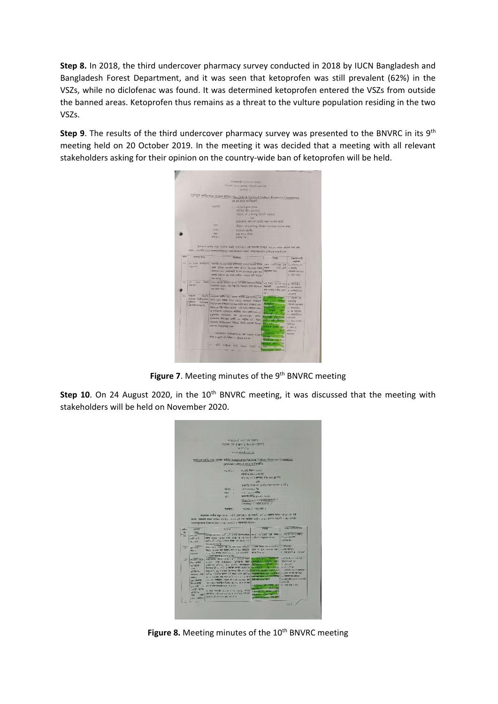**Step 8.** In 2018, the third undercover pharmacy survey conducted in 2018 by IUCN Bangladesh and Bangladesh Forest Department, and it was seen that ketoprofen was still prevalent (62%) in the VSZs, while no diclofenac was found. It was determined ketoprofen entered the VSZs from outside the banned areas. Ketoprofen thus remains as a threat to the vulture population residing in the two VSZs.

**Step 9**. The results of the third undercover pharmacy survey was presented to the BNVRC in its 9<sup>th</sup> meeting held on 20 October 2019. In the meeting it was decided that a meeting with all relevant stakeholders asking for their opinion on the country-wide ban of ketoprofen will be held.



Figure 7. Meeting minutes of the 9<sup>th</sup> BNVRC meeting

**Step 10**. On 24 August 2020, in the 10<sup>th</sup> BNVRC meeting, it was discussed that the meeting with stakeholders will be held on November 2020.



Figure 8. Meeting minutes of the 10<sup>th</sup> BNVRC meeting